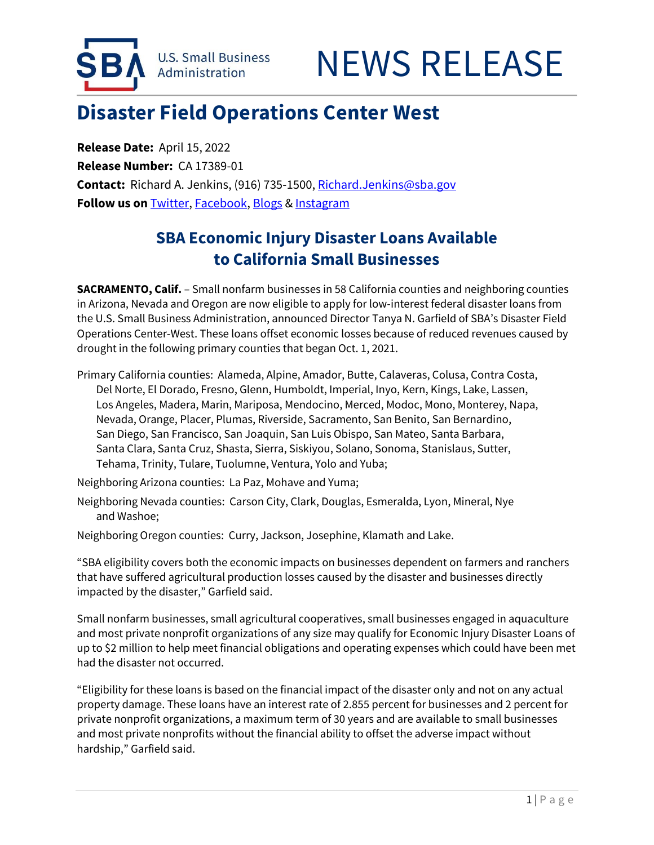

## **Disaster Field Operations Center West**

 **Contact:** Richard A. Jenkins, (916) 735-1500[, Richard.Jenkins@sba.gov](mailto:Richard.Jenkins@sba.gov)  **Release Date:** April 15, 2022 **Release Number:** CA 17389-01 **Follow us on** [Twitter,](http://www.twitter.com/SBAgov) [Facebook,](http://www.facebook.com/sbagov) [Blogs](http://www.sba.gov/blogs) [& Instagram](https://www.instagram.com/sbagov/) 

## **SBA Economic Injury Disaster Loans Available to California Small Businesses**

 **SACRAMENTO, Calif.** – Small nonfarm businesses in 58 California counties and neighboring counties in Arizona, Nevada and Oregon are now eligible to apply for low-interest federal disaster loans from Operations Center-West. These loans offset economic losses because of reduced revenues caused by drought in the following primary counties that began Oct. 1, 2021. the U.S. Small Business Administration, announced Director Tanya N. Garfield of SBA's Disaster Field

 Nevada, Orange, Placer, Plumas, Riverside, Sacramento, San Benito, San Bernardino, San Diego, San Francisco, San Joaquin, San Luis Obispo, San Mateo, Santa Barbara, Primary California counties: Alameda, Alpine, Amador, Butte, Calaveras, Colusa, Contra Costa, Del Norte, El Dorado, Fresno, Glenn, Humboldt, Imperial, Inyo, Kern, Kings, Lake, Lassen, Los Angeles, Madera, Marin, Mariposa, Mendocino, Merced, Modoc, Mono, Monterey, Napa, Santa Clara, Santa Cruz, Shasta, Sierra, Siskiyou, Solano, Sonoma, Stanislaus, Sutter, Tehama, Trinity, Tulare, Tuolumne, Ventura, Yolo and Yuba;

Neighboring Arizona counties: La Paz, Mohave and Yuma;

Neighboring Nevada counties: Carson City, Clark, Douglas, Esmeralda, Lyon, Mineral, Nye and Washoe;

Neighboring Oregon counties: Curry, Jackson, Josephine, Klamath and Lake.

 "SBA eligibility covers both the economic impacts on businesses dependent on farmers and ranchers that have suffered agricultural production losses caused by the disaster and businesses directly impacted by the disaster," Garfield said.

Small nonfarm businesses, small agricultural cooperatives, small businesses engaged in aquaculture and most private nonprofit organizations of any size may qualify for Economic Injury Disaster Loans of up to \$2 million to help meet financial obligations and operating expenses which could have been met had the disaster not occurred.

j private nonprofit organizations, a maximum term of 30 years and are available to small businesses "Eligibility for these loans is based on the financial impact of the disaster only and not on any actual property damage. These loans have an interest rate of 2.855 percent for businesses and 2 percent for and most private nonprofits without the financial ability to offset the adverse impact without hardship," Garfield said.